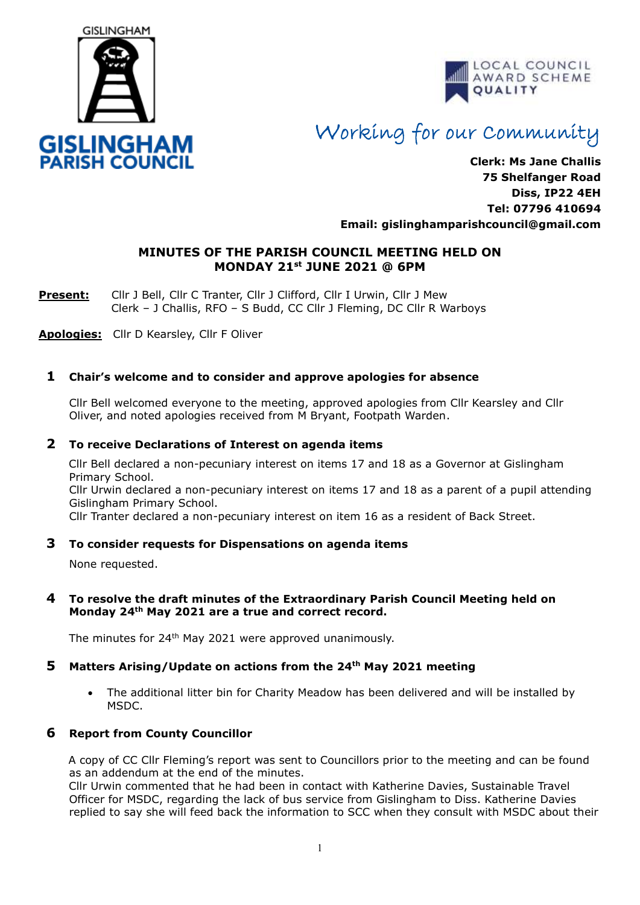



# Working for our Community

**Clerk: Ms Jane Challis 75 Shelfanger Road Diss, IP22 4EH Tel: 07796 410694 Email: [gislinghamparishcouncil@gmail.com](mailto:gislinghamparishcouncil@gmail.com)**

# **MINUTES OF THE PARISH COUNCIL MEETING HELD ON MONDAY 21st JUNE 2021 @ 6PM**

**Present:** Cllr J Bell, Cllr C Tranter, Cllr J Clifford, Cllr I Urwin, Cllr J Mew Clerk – J Challis, RFO – S Budd, CC Cllr J Fleming, DC Cllr R Warboys

**Apologies:** Cllr D Kearsley, Cllr F Oliver

# **1 Chair's welcome and to consider and approve apologies for absence**

Cllr Bell welcomed everyone to the meeting, approved apologies from Cllr Kearsley and Cllr Oliver, and noted apologies received from M Bryant, Footpath Warden.

#### **2 To receive Declarations of Interest on agenda items**

 Cllr Bell declared a non-pecuniary interest on items 17 and 18 as a Governor at Gislingham Primary School.

Cllr Urwin declared a non-pecuniary interest on items 17 and 18 as a parent of a pupil attending Gislingham Primary School.

Cllr Tranter declared a non-pecuniary interest on item 16 as a resident of Back Street.

#### **3 To consider requests for Dispensations on agenda items**

None requested.

#### **4 To resolve the draft minutes of the Extraordinary Parish Council Meeting held on Monday 24th May 2021 are a true and correct record.**

The minutes for 24<sup>th</sup> May 2021 were approved unanimously.

#### **5 Matters Arising/Update on actions from the 24th May 2021 meeting**

• The additional litter bin for Charity Meadow has been delivered and will be installed by MSDC.

# **6 Report from County Councillor**

A copy of CC Cllr Fleming's report was sent to Councillors prior to the meeting and can be found as an addendum at the end of the minutes.

 Cllr Urwin commented that he had been in contact with Katherine Davies, Sustainable Travel Officer for MSDC, regarding the lack of bus service from Gislingham to Diss. Katherine Davies replied to say she will feed back the information to SCC when they consult with MSDC about their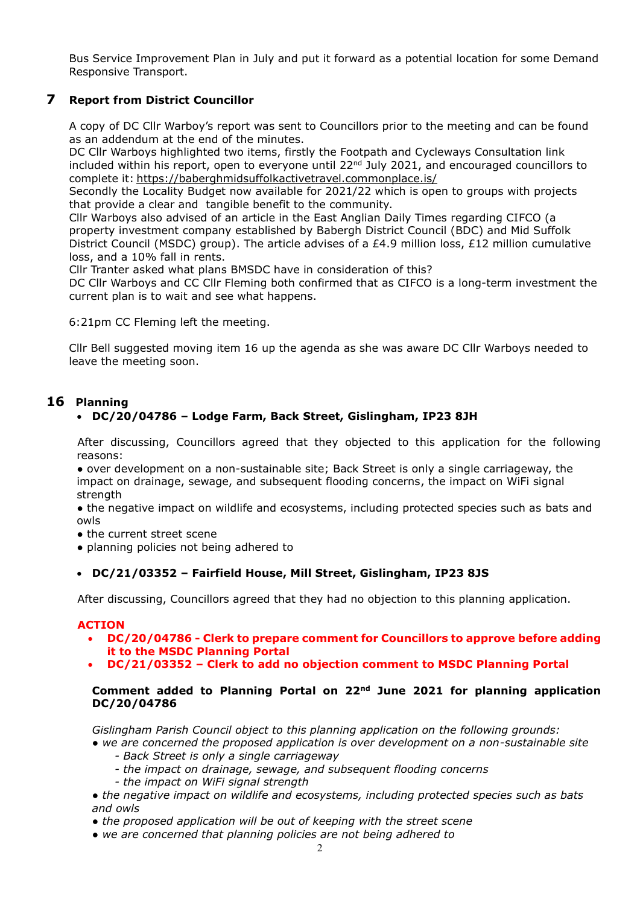Bus Service Improvement Plan in July and put it forward as a potential location for some Demand Responsive Transport.

# **7 Report from District Councillor**

A copy of DC Cllr Warboy's report was sent to Councillors prior to the meeting and can be found as an addendum at the end of the minutes.

DC Cllr Warboys highlighted two items, firstly the Footpath and Cycleways Consultation link included within his report, open to everyone until  $22<sup>nd</sup>$  July 2021, and encouraged councillors to complete it: <https://baberghmidsuffolkactivetravel.commonplace.is/>

Secondly the Locality Budget now available for 2021/22 which is open to groups with projects that provide a clear and tangible benefit to the community.

Cllr Warboys also advised of an article in the East Anglian Daily Times regarding CIFCO (a property investment company established by Babergh District Council (BDC) and Mid Suffolk District Council (MSDC) group). The article advises of a £4.9 million loss, £12 million cumulative loss, and a 10% fall in rents.

Cllr Tranter asked what plans BMSDC have in consideration of this?

DC Cllr Warboys and CC Cllr Fleming both confirmed that as CIFCO is a long-term investment the current plan is to wait and see what happens.

6:21pm CC Fleming left the meeting.

Cllr Bell suggested moving item 16 up the agenda as she was aware DC Cllr Warboys needed to leave the meeting soon.

# **16 Planning**

# • **DC/20/04786 – Lodge Farm, Back Street, Gislingham, IP23 8JH**

After discussing, Councillors agreed that they objected to this application for the following reasons:

● over development on a non-sustainable site; Back Street is only a single carriageway, the impact on drainage, sewage, and subsequent flooding concerns, the impact on WiFi signal strength

• the negative impact on wildlife and ecosystems, including protected species such as bats and owls

- the current street scene
- planning policies not being adhered to

# • **DC/21/03352 – Fairfield House, Mill Street, Gislingham, IP23 8JS**

After discussing, Councillors agreed that they had no objection to this planning application.

#### **ACTION**

- **DC/20/04786 - Clerk to prepare comment for Councillors to approve before adding it to the MSDC Planning Portal**
- **DC/21/03352 – Clerk to add no objection comment to MSDC Planning Portal**

#### **Comment added to Planning Portal on 22nd June 2021 for planning application DC/20/04786**

*Gislingham Parish Council object to this planning application on the following grounds:*

*● we are concerned the proposed application is over development on a non-sustainable site - Back Street is only a single carriageway*

- *- the impact on drainage, sewage, and subsequent flooding concerns*
- *- the impact on WiFi signal strength*
- *the negative impact on wildlife and ecosystems, including protected species such as bats and owls*
- *the proposed application will be out of keeping with the street scene*
- *we are concerned that planning policies are not being adhered to*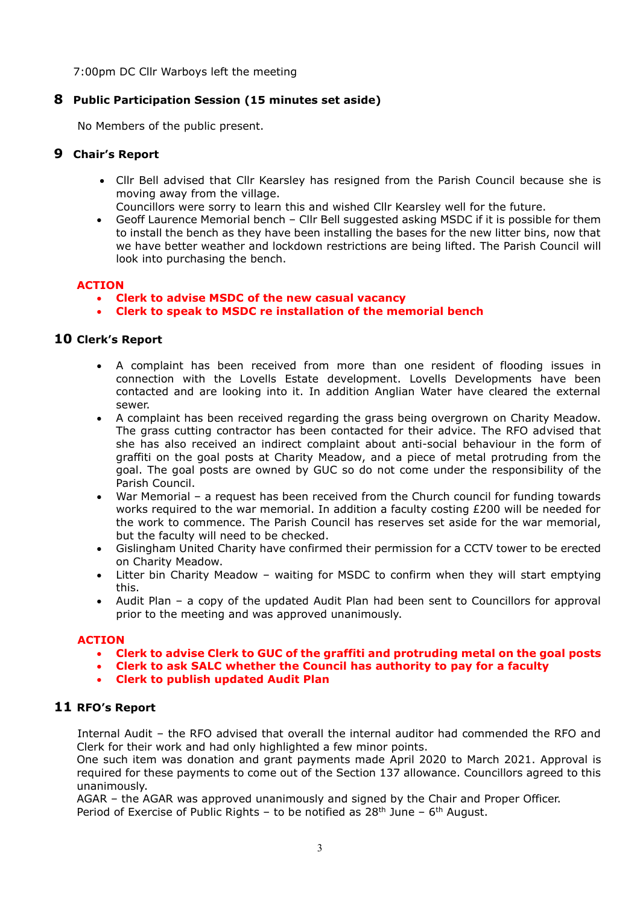7:00pm DC Cllr Warboys left the meeting

# **8 Public Participation Session (15 minutes set aside)**

No Members of the public present.

# **9 Chair's Report**

- Cllr Bell advised that Cllr Kearsley has resigned from the Parish Council because she is moving away from the village.
- Councillors were sorry to learn this and wished Cllr Kearsley well for the future.
- Geoff Laurence Memorial bench Cllr Bell suggested asking MSDC if it is possible for them to install the bench as they have been installing the bases for the new litter bins, now that we have better weather and lockdown restrictions are being lifted. The Parish Council will look into purchasing the bench.

#### **ACTION**

- **Clerk to advise MSDC of the new casual vacancy**
- **Clerk to speak to MSDC re installation of the memorial bench**

#### **10 Clerk's Report**

- A complaint has been received from more than one resident of flooding issues in connection with the Lovells Estate development. Lovells Developments have been contacted and are looking into it. In addition Anglian Water have cleared the external sewer.
- A complaint has been received regarding the grass being overgrown on Charity Meadow. The grass cutting contractor has been contacted for their advice. The RFO advised that she has also received an indirect complaint about anti-social behaviour in the form of graffiti on the goal posts at Charity Meadow, and a piece of metal protruding from the goal. The goal posts are owned by GUC so do not come under the responsibility of the Parish Council.
- War Memorial a request has been received from the Church council for funding towards works required to the war memorial. In addition a faculty costing £200 will be needed for the work to commence. The Parish Council has reserves set aside for the war memorial, but the faculty will need to be checked.
- Gislingham United Charity have confirmed their permission for a CCTV tower to be erected on Charity Meadow.
- Litter bin Charity Meadow waiting for MSDC to confirm when they will start emptying this.
- Audit Plan a copy of the updated Audit Plan had been sent to Councillors for approval prior to the meeting and was approved unanimously.

# **ACTION**

- **Clerk to advise Clerk to GUC of the graffiti and protruding metal on the goal posts**
- **Clerk to ask SALC whether the Council has authority to pay for a faculty**
- **Clerk to publish updated Audit Plan**

# **11 RFO's Report**

Internal Audit – the RFO advised that overall the internal auditor had commended the RFO and Clerk for their work and had only highlighted a few minor points.

One such item was donation and grant payments made April 2020 to March 2021. Approval is required for these payments to come out of the Section 137 allowance. Councillors agreed to this unanimously.

AGAR – the AGAR was approved unanimously and signed by the Chair and Proper Officer. Period of Exercise of Public Rights – to be notified as  $28<sup>th</sup>$  June – 6<sup>th</sup> August.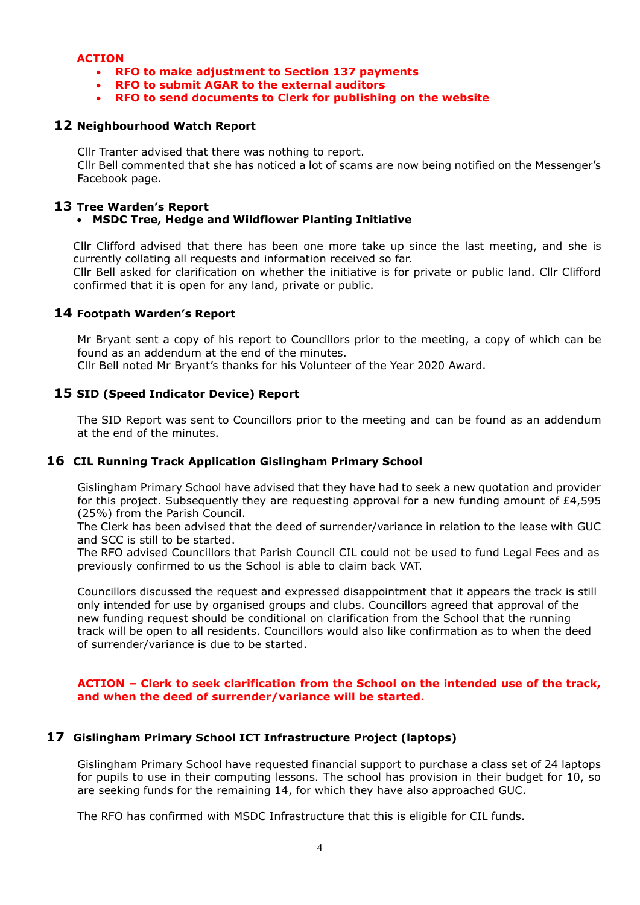#### **ACTION**

- **RFO to make adjustment to Section 137 payments**
- **RFO to submit AGAR to the external auditors**
- **RFO to send documents to Clerk for publishing on the website**

### **12 Neighbourhood Watch Report**

Cllr Tranter advised that there was nothing to report.

Cllr Bell commented that she has noticed a lot of scams are now being notified on the Messenger's Facebook page.

#### **13 Tree Warden's Report**

#### • **MSDC Tree, Hedge and Wildflower Planting Initiative**

Cllr Clifford advised that there has been one more take up since the last meeting, and she is currently collating all requests and information received so far. Cllr Bell asked for clarification on whether the initiative is for private or public land. Cllr Clifford

confirmed that it is open for any land, private or public.

#### **14 Footpath Warden's Report**

Mr Bryant sent a copy of his report to Councillors prior to the meeting, a copy of which can be found as an addendum at the end of the minutes.

Cllr Bell noted Mr Bryant's thanks for his Volunteer of the Year 2020 Award.

# **15 SID (Speed Indicator Device) Report**

The SID Report was sent to Councillors prior to the meeting and can be found as an addendum at the end of the minutes.

#### **16 CIL Running Track Application Gislingham Primary School**

Gislingham Primary School have advised that they have had to seek a new quotation and provider for this project. Subsequently they are requesting approval for a new funding amount of  $£4,595$ (25%) from the Parish Council.

The Clerk has been advised that the deed of surrender/variance in relation to the lease with GUC and SCC is still to be started.

The RFO advised Councillors that Parish Council CIL could not be used to fund Legal Fees and as previously confirmed to us the School is able to claim back VAT.

Councillors discussed the request and expressed disappointment that it appears the track is still only intended for use by organised groups and clubs. Councillors agreed that approval of the new funding request should be conditional on clarification from the School that the running track will be open to all residents. Councillors would also like confirmation as to when the deed of surrender/variance is due to be started.

#### **ACTION – Clerk to seek clarification from the School on the intended use of the track, and when the deed of surrender/variance will be started.**

# **17 Gislingham Primary School ICT Infrastructure Project (laptops)**

Gislingham Primary School have requested financial support to purchase a class set of 24 laptops for pupils to use in their computing lessons. The school has provision in their budget for 10, so are seeking funds for the remaining 14, for which they have also approached GUC.

The RFO has confirmed with MSDC Infrastructure that this is eligible for CIL funds.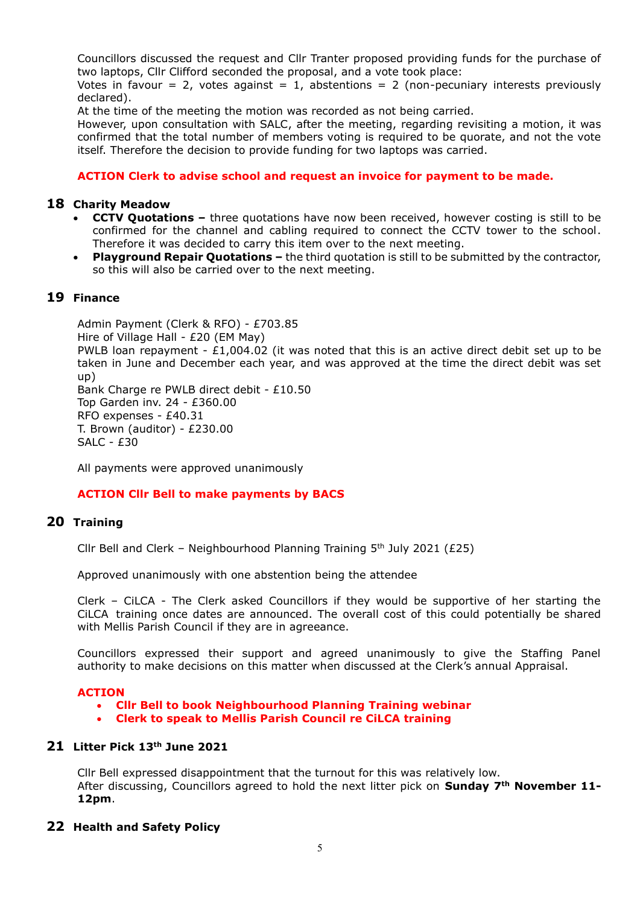Councillors discussed the request and Cllr Tranter proposed providing funds for the purchase of two laptops, Cllr Clifford seconded the proposal, and a vote took place:

Votes in favour = 2, votes against = 1, abstentions = 2 (non-pecuniary interests previously declared).

At the time of the meeting the motion was recorded as not being carried.

However, upon consultation with SALC, after the meeting, regarding revisiting a motion, it was confirmed that the total number of members voting is required to be quorate, and not the vote itself. Therefore the decision to provide funding for two laptops was carried.

#### **ACTION Clerk to advise school and request an invoice for payment to be made.**

#### **18 Charity Meadow**

- **CCTV Quotations –** three quotations have now been received, however costing is still to be confirmed for the channel and cabling required to connect the CCTV tower to the school. Therefore it was decided to carry this item over to the next meeting.
- **Playground Repair Quotations –** the third quotation is still to be submitted by the contractor, so this will also be carried over to the next meeting.

# **19 Finance**

Admin Payment (Clerk & RFO) - £703.85

Hire of Village Hall - £20 (EM May)

PWLB loan repayment - £1,004.02 (it was noted that this is an active direct debit set up to be taken in June and December each year, and was approved at the time the direct debit was set up)

Bank Charge re PWLB direct debit - £10.50 Top Garden inv. 24 - £360.00 RFO expenses - £40.31 T. Brown (auditor) - £230.00 SALC - £30

All payments were approved unanimously

#### **ACTION Cllr Bell to make payments by BACS**

# **20 Training**

Cllr Bell and Clerk – Neighbourhood Planning Training  $5<sup>th</sup>$  July 2021 (£25)

Approved unanimously with one abstention being the attendee

Clerk – CiLCA - The Clerk asked Councillors if they would be supportive of her starting the CiLCA training once dates are announced. The overall cost of this could potentially be shared with Mellis Parish Council if they are in agreeance.

Councillors expressed their support and agreed unanimously to give the Staffing Panel authority to make decisions on this matter when discussed at the Clerk's annual Appraisal.

#### **ACTION**

- **Cllr Bell to book Neighbourhood Planning Training webinar**
- **Clerk to speak to Mellis Parish Council re CiLCA training**

# **21 Litter Pick 13th June 2021**

Cllr Bell expressed disappointment that the turnout for this was relatively low. After discussing, Councillors agreed to hold the next litter pick on **Sunday 7th November 11- 12pm**.

**22 Health and Safety Policy**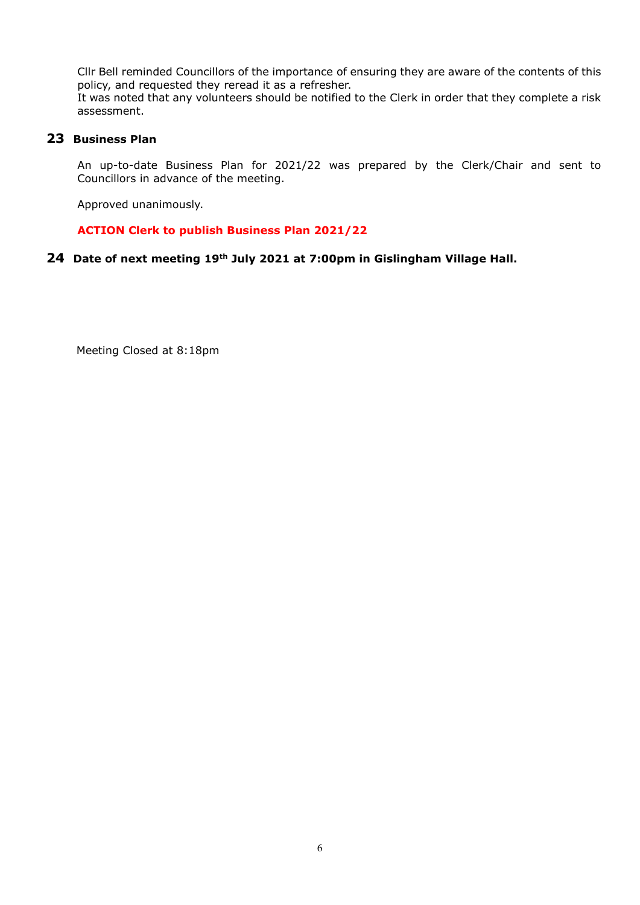Cllr Bell reminded Councillors of the importance of ensuring they are aware of the contents of this policy, and requested they reread it as a refresher.

It was noted that any volunteers should be notified to the Clerk in order that they complete a risk assessment.

# **23 Business Plan**

An up-to-date Business Plan for 2021/22 was prepared by the Clerk/Chair and sent to Councillors in advance of the meeting.

Approved unanimously.

**ACTION Clerk to publish Business Plan 2021/22**

### **24 Date of next meeting 19th July 2021 at 7:00pm in Gislingham Village Hall.**

Meeting Closed at 8:18pm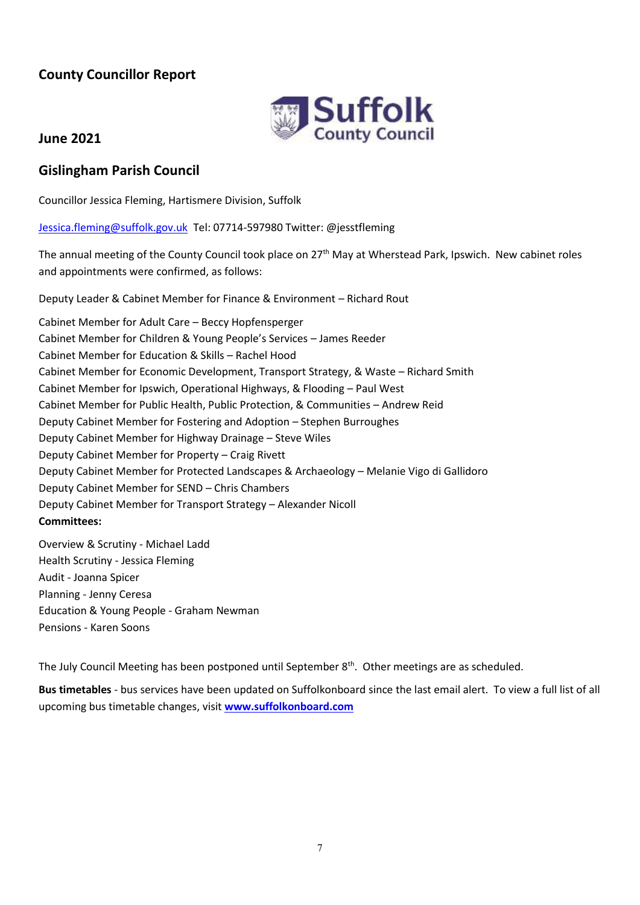# **County Councillor Report**



# **June 2021**

# **Gislingham Parish Council**

Councillor Jessica Fleming, Hartismere Division, Suffolk

[Jessica.fleming@suffolk.gov.uk](mailto:Jessica.fleming@suffolk.gov.uk) Tel: 07714-597980 Twitter: @jesstfleming

The annual meeting of the County Council took place on 27th May at Wherstead Park, Ipswich. New cabinet roles and appointments were confirmed, as follows:

Deputy Leader & Cabinet Member for Finance & Environment – Richard Rout

Cabinet Member for Adult Care – Beccy Hopfensperger Cabinet Member for Children & Young People's Services – James Reeder Cabinet Member for Education & Skills – Rachel Hood Cabinet Member for Economic Development, Transport Strategy, & Waste – Richard Smith Cabinet Member for Ipswich, Operational Highways, & Flooding – Paul West Cabinet Member for Public Health, Public Protection, & Communities – Andrew Reid Deputy Cabinet Member for Fostering and Adoption – Stephen Burroughes Deputy Cabinet Member for Highway Drainage – Steve Wiles Deputy Cabinet Member for Property – Craig Rivett Deputy Cabinet Member for Protected Landscapes & Archaeology – Melanie Vigo di Gallidoro Deputy Cabinet Member for SEND – Chris Chambers Deputy Cabinet Member for Transport Strategy – Alexander Nicoll **Committees:**

Overview & Scrutiny - Michael Ladd Health Scrutiny - Jessica Fleming Audit - Joanna Spicer Planning - Jenny Ceresa Education & Young People - Graham Newman Pensions - Karen Soons

The July Council Meeting has been postponed until September 8th. Other meetings are as scheduled.

**Bus timetables** - bus services have been updated on Suffolkonboard since the last email alert. To view a full list of all upcoming bus timetable changes, visit **[www.suffolkonboard.com](https://www.suffolkonboard.com/buses/bus-timetable-updates/)**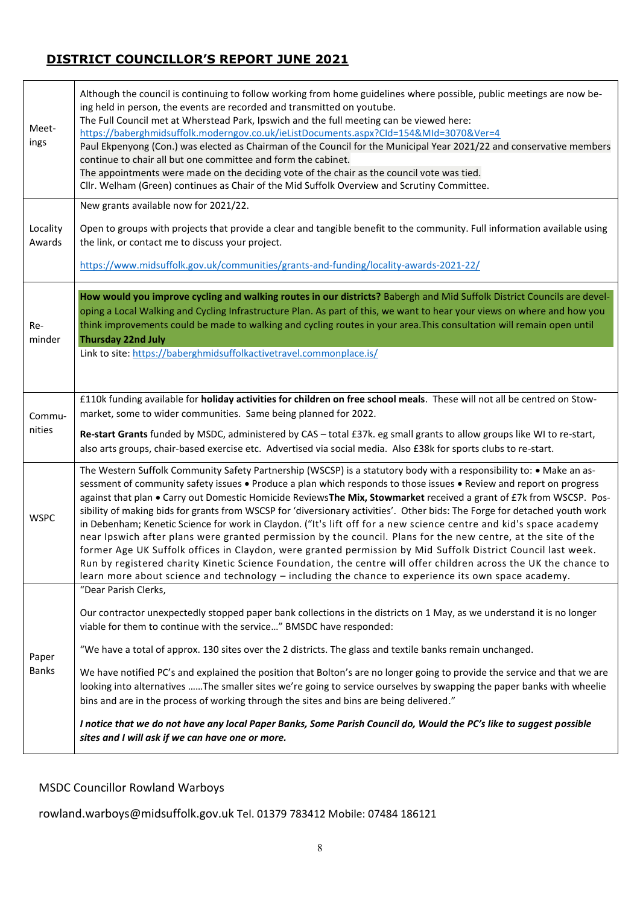# **DISTRICT COUNCILLOR'S REPORT JUNE 2021**

| Meet-<br>ings         | Although the council is continuing to follow working from home guidelines where possible, public meetings are now be-<br>ing held in person, the events are recorded and transmitted on youtube.<br>The Full Council met at Wherstead Park, Ipswich and the full meeting can be viewed here:<br>https://baberghmidsuffolk.moderngov.co.uk/ieListDocuments.aspx?CId=154&MId=3070&Ver=4<br>Paul Ekpenyong (Con.) was elected as Chairman of the Council for the Municipal Year 2021/22 and conservative members<br>continue to chair all but one committee and form the cabinet.<br>The appointments were made on the deciding vote of the chair as the council vote was tied.<br>Cllr. Welham (Green) continues as Chair of the Mid Suffolk Overview and Scrutiny Committee.                                                                                                                                                                                                                                                                                                        |
|-----------------------|------------------------------------------------------------------------------------------------------------------------------------------------------------------------------------------------------------------------------------------------------------------------------------------------------------------------------------------------------------------------------------------------------------------------------------------------------------------------------------------------------------------------------------------------------------------------------------------------------------------------------------------------------------------------------------------------------------------------------------------------------------------------------------------------------------------------------------------------------------------------------------------------------------------------------------------------------------------------------------------------------------------------------------------------------------------------------------|
| Locality<br>Awards    | New grants available now for 2021/22.<br>Open to groups with projects that provide a clear and tangible benefit to the community. Full information available using<br>the link, or contact me to discuss your project.<br>https://www.midsuffolk.gov.uk/communities/grants-and-funding/locality-awards-2021-22/                                                                                                                                                                                                                                                                                                                                                                                                                                                                                                                                                                                                                                                                                                                                                                    |
| Re-<br>minder         | How would you improve cycling and walking routes in our districts? Babergh and Mid Suffolk District Councils are devel-<br>oping a Local Walking and Cycling Infrastructure Plan. As part of this, we want to hear your views on where and how you<br>think improvements could be made to walking and cycling routes in your area. This consultation will remain open until<br><b>Thursday 22nd July</b><br>Link to site: https://baberghmidsuffolkactivetravel.commonplace.is/                                                                                                                                                                                                                                                                                                                                                                                                                                                                                                                                                                                                    |
| Commu-<br>nities      | £110k funding available for holiday activities for children on free school meals. These will not all be centred on Stow-<br>market, some to wider communities. Same being planned for 2022.<br>Re-start Grants funded by MSDC, administered by CAS - total £37k. eg small grants to allow groups like WI to re-start,<br>also arts groups, chair-based exercise etc. Advertised via social media. Also £38k for sports clubs to re-start.                                                                                                                                                                                                                                                                                                                                                                                                                                                                                                                                                                                                                                          |
| <b>WSPC</b>           | The Western Suffolk Community Safety Partnership (WSCSP) is a statutory body with a responsibility to: • Make an as-<br>sessment of community safety issues . Produce a plan which responds to those issues . Review and report on progress<br>against that plan . Carry out Domestic Homicide ReviewsThe Mix, Stowmarket received a grant of £7k from WSCSP. Pos-<br>sibility of making bids for grants from WSCSP for 'diversionary activities'. Other bids: The Forge for detached youth work<br>in Debenham; Kenetic Science for work in Claydon. ("It's lift off for a new science centre and kid's space academy<br>near Ipswich after plans were granted permission by the council. Plans for the new centre, at the site of the<br>former Age UK Suffolk offices in Claydon, were granted permission by Mid Suffolk District Council last week.<br>Run by registered charity Kinetic Science Foundation, the centre will offer children across the UK the chance to<br>learn more about science and technology - including the chance to experience its own space academy. |
| Paper<br><b>Banks</b> | "Dear Parish Clerks,<br>Our contractor unexpectedly stopped paper bank collections in the districts on 1 May, as we understand it is no longer<br>viable for them to continue with the service" BMSDC have responded:<br>"We have a total of approx. 130 sites over the 2 districts. The glass and textile banks remain unchanged.<br>We have notified PC's and explained the position that Bolton's are no longer going to provide the service and that we are<br>looking into alternatives The smaller sites we're going to service ourselves by swapping the paper banks with wheelie<br>bins and are in the process of working through the sites and bins are being delivered."<br>I notice that we do not have any local Paper Banks, Some Parish Council do, Would the PC's like to suggest possible<br>sites and I will ask if we can have one or more.                                                                                                                                                                                                                     |

# MSDC Councillor Rowland Warboys

rowland.warboys@midsuffolk.gov.uk Tel. 01379 783412 Mobile: 07484 186121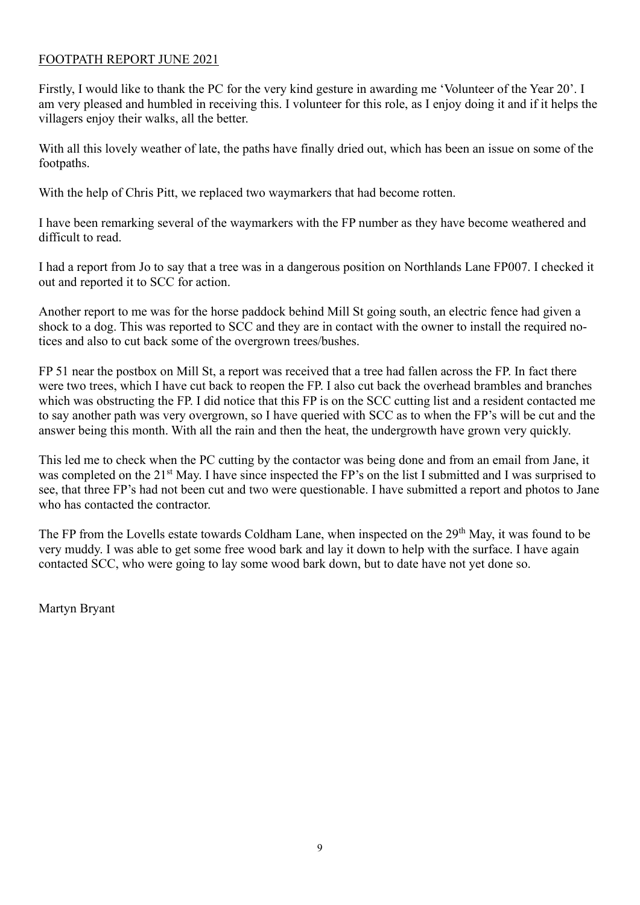# FOOTPATH REPORT JUNE 2021

Firstly, I would like to thank the PC for the very kind gesture in awarding me 'Volunteer of the Year 20'. I am very pleased and humbled in receiving this. I volunteer for this role, as I enjoy doing it and if it helps the villagers enjoy their walks, all the better.

With all this lovely weather of late, the paths have finally dried out, which has been an issue on some of the footpaths.

With the help of Chris Pitt, we replaced two waymarkers that had become rotten.

I have been remarking several of the waymarkers with the FP number as they have become weathered and difficult to read.

I had a report from Jo to say that a tree was in a dangerous position on Northlands Lane FP007. I checked it out and reported it to SCC for action.

Another report to me was for the horse paddock behind Mill St going south, an electric fence had given a shock to a dog. This was reported to SCC and they are in contact with the owner to install the required notices and also to cut back some of the overgrown trees/bushes.

FP 51 near the postbox on Mill St, a report was received that a tree had fallen across the FP. In fact there were two trees, which I have cut back to reopen the FP. I also cut back the overhead brambles and branches which was obstructing the FP. I did notice that this FP is on the SCC cutting list and a resident contacted me to say another path was very overgrown, so I have queried with SCC as to when the FP's will be cut and the answer being this month. With all the rain and then the heat, the undergrowth have grown very quickly.

This led me to check when the PC cutting by the contactor was being done and from an email from Jane, it was completed on the 21<sup>st</sup> May. I have since inspected the FP's on the list I submitted and I was surprised to see, that three FP's had not been cut and two were questionable. I have submitted a report and photos to Jane who has contacted the contractor.

The FP from the Lovells estate towards Coldham Lane, when inspected on the 29<sup>th</sup> May, it was found to be very muddy. I was able to get some free wood bark and lay it down to help with the surface. I have again contacted SCC, who were going to lay some wood bark down, but to date have not yet done so.

Martyn Bryant